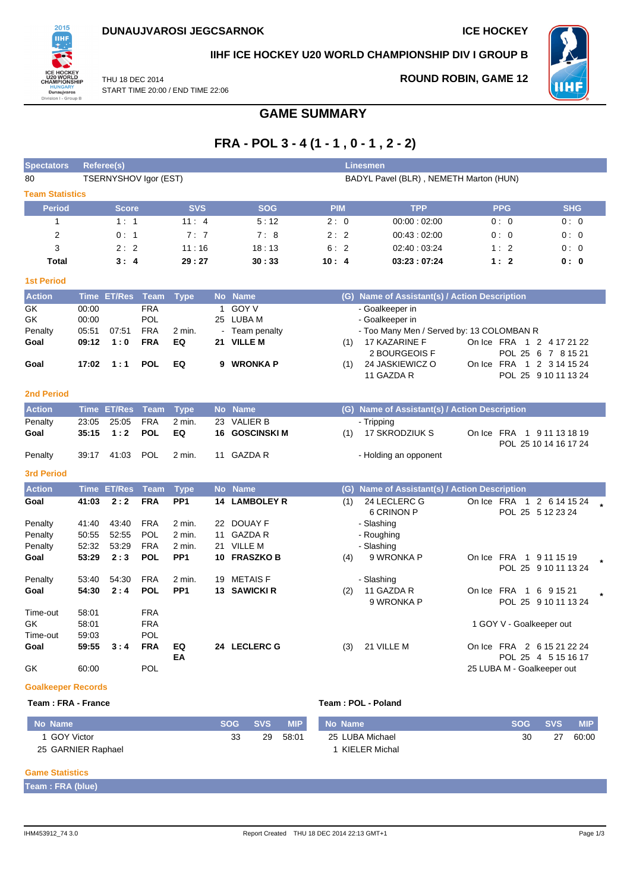

**IIHF ICE HOCKEY U20 WORLD CHAMPIONSHIP DIV I GROUP B**

THU 18 DEC 2014 START TIME 20:00 / END TIME 22:06 **ROUND ROBIN, GAME 12**



**FRA - POL 3 - 4 (1 - 1 , 0 - 1 , 2 - 2) Spectators Referee(s) Linesmen**

**GAME SUMMARY**

| 80                        |       | TSERNYSHOV Igor (EST) |             |                 |              |                       |            | BADYL Pavel (BLR), NEMETH Marton (HUN)        |                            |                                     |
|---------------------------|-------|-----------------------|-------------|-----------------|--------------|-----------------------|------------|-----------------------------------------------|----------------------------|-------------------------------------|
| <b>Team Statistics</b>    |       |                       |             |                 |              |                       |            |                                               |                            |                                     |
| <b>Period</b>             |       | <b>Score</b>          |             | <b>SVS</b>      |              | <b>SOG</b>            | <b>PIM</b> | <b>TPP</b>                                    | <b>PPG</b>                 | <b>SHG</b>                          |
| $\mathbf{1}$              |       | 1:1                   |             | 11:4            |              | 5:12                  | 2:0        | 00:00:02:00                                   | 0:0                        | 0:0                                 |
| $\overline{2}$            |       | 0:1                   |             | 7:7             |              | 7:8                   | 2:2        | 00:43:02:00                                   | 0:0                        | 0: 0                                |
| 3                         |       | 2:2                   |             | 11:16           |              | 18:13                 | 6:2        | 02:40:03:24                                   | 1:2                        | 0:0                                 |
| <b>Total</b>              |       | 3:4                   |             | 29:27           |              | 30:33                 | 10:4       | 03:23:07:24                                   | 1:2                        | 0:0                                 |
| <b>1st Period</b>         |       |                       |             |                 |              |                       |            |                                               |                            |                                     |
| Action                    |       | Time ET/Res           | <b>Team</b> | <b>Type</b>     | <b>No</b>    | <b>Name</b>           |            | (G) Name of Assistant(s) / Action Description |                            |                                     |
| GK                        | 00:00 |                       | <b>FRA</b>  |                 | $\mathbf{1}$ | <b>GOY V</b>          |            | - Goalkeeper in                               |                            |                                     |
| GK                        | 00:00 |                       | POL         |                 | 25           | LUBA M                |            | - Goalkeeper in                               |                            |                                     |
| Penalty                   | 05:51 | 07:51                 | <b>FRA</b>  | 2 min.          |              | Team penalty          |            | - Too Many Men / Served by: 13 COLOMBAN R     |                            |                                     |
| Goal                      | 09:12 | 1:0                   | <b>FRA</b>  | EQ              |              | 21 VILLE M            | (1)        | 17 KAZARINE F                                 | On Ice FRA 1 2 4 17 21 22  |                                     |
|                           |       |                       |             |                 |              |                       |            | 2 BOURGEOIS F                                 |                            | POL 25 6 7 8 15 21                  |
| Goal                      | 17:02 | 1:1                   | <b>POL</b>  | EQ              |              | 9 WRONKA P            | (1)        | 24 JASKIEWICZ O<br>11 GAZDA R                 | On Ice FRA 1 2 3 14 15 24  | POL 25 9 10 11 13 24                |
| <b>2nd Period</b>         |       |                       |             |                 |              |                       |            |                                               |                            |                                     |
| <b>Action</b>             |       | <b>Time ET/Res</b>    | <b>Team</b> | <b>Type</b>     |              | No Name               |            | (G) Name of Assistant(s) / Action Description |                            |                                     |
| Penalty                   | 23:05 | 25:05                 | <b>FRA</b>  | $2$ min.        | 23           | <b>VALIER B</b>       |            | - Tripping                                    |                            |                                     |
| Goal                      | 35:15 | 1:2                   | <b>POL</b>  | EQ              |              | <b>16 GOSCINSKI M</b> | (1)        | 17 SKRODZIUK S                                | On Ice FRA 1 9 11 13 18 19 | POL 25 10 14 16 17 24               |
| Penalty                   | 39:17 | 41:03                 | <b>POL</b>  | $2$ min.        |              | 11 GAZDA R            |            | - Holding an opponent                         |                            |                                     |
| <b>3rd Period</b>         |       |                       |             |                 |              |                       |            |                                               |                            |                                     |
| <b>Action</b>             |       | <b>Time ET/Res</b>    | <b>Team</b> | <b>Type</b>     |              | No Name               |            | (G) Name of Assistant(s) / Action Description |                            |                                     |
| Goal                      | 41:03 | 2:2                   | <b>FRA</b>  | PP1             |              | <b>14 LAMBOLEY R</b>  | (1)        | 24 LECLERC G                                  | On Ice FRA 1 2 6 14 15 24  |                                     |
|                           |       |                       |             |                 |              |                       |            | 6 CRINON P                                    |                            | POL 25 5 12 23 24                   |
| Penalty                   | 41:40 | 43:40                 | <b>FRA</b>  | 2 min.          |              | 22 DOUAY F            |            | - Slashing                                    |                            |                                     |
| Penalty                   | 50:55 | 52:55                 | <b>POL</b>  | $2$ min.        | 11           | <b>GAZDA R</b>        |            | - Roughing                                    |                            |                                     |
| Penalty                   | 52:32 | 53:29                 | <b>FRA</b>  | 2 min.          | 21           | VILLE M               |            | - Slashing                                    |                            |                                     |
| Goal                      | 53:29 | 2:3                   | <b>POL</b>  | PP <sub>1</sub> |              | 10 FRASZKO B          | (4)        | 9 WRONKA P                                    | On Ice FRA 1 9 11 15 19    | POL 25 9 10 11 13 24                |
| Penalty                   | 53:40 | 54:30                 | <b>FRA</b>  | 2 min.          | 19           | <b>METAISF</b>        |            | - Slashing                                    |                            |                                     |
| Goal                      | 54:30 | 2:4                   | <b>POL</b>  | PP <sub>1</sub> |              | 13 SAWICKI R          | (2)        | 11 GAZDA R<br>9 WRONKA P                      | On Ice FRA                 | 1 6 9 15 21<br>POL 25 9 10 11 13 24 |
| Time-out                  | 58:01 |                       | <b>FRA</b>  |                 |              |                       |            |                                               |                            |                                     |
| GK                        | 58:01 |                       | <b>FRA</b>  |                 |              |                       |            |                                               | 1 GOY V - Goalkeeper out   |                                     |
| Time-out                  | 59:03 |                       | POL         |                 |              |                       |            |                                               |                            |                                     |
| Goal                      | 59:55 | 3:4                   | <b>FRA</b>  | EQ<br>EA        |              | 24 LECLERC G          | (3)        | 21 VILLE M                                    | On Ice FRA 2 6 15 21 22 24 | POL 25 4 5 15 16 17                 |
| GK                        | 60:00 |                       | POL         |                 |              |                       |            |                                               | 25 LUBA M - Goalkeeper out |                                     |
| <b>Goalkeeper Records</b> |       |                       |             |                 |              |                       |            |                                               |                            |                                     |

#### **Team : FRA - France Team : POL - Poland**

| No Name            | <b>SOG</b> | <b>SVS</b> | <b>MIP</b> | No Name         | <b>SOG</b> | <b>SVS</b> | <b>MIP</b> |
|--------------------|------------|------------|------------|-----------------|------------|------------|------------|
| 1 GOY Victor       | วว<br>აა   | 29         | 58:01      | 25 LUBA Michael | 30         | 27         | 60:00      |
| 25 GARNIER Raphael |            |            |            | KIELER Michal   |            |            |            |

#### **Game Statistics**

**Team : FRA (blue)**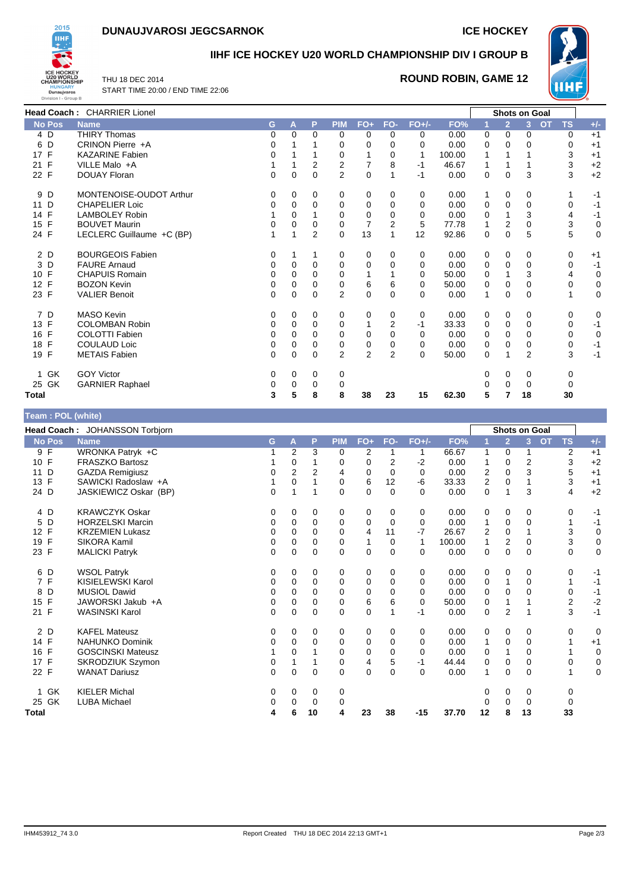# **DUNAUJVAROSI JEGCSARNOK ICE HOCKEY**



### **IIHF ICE HOCKEY U20 WORLD CHAMPIONSHIP DIV I GROUP B**

THU 18 DEC 2014 START TIME 20:00 / END TIME 22:06

## **ROUND ROBIN, GAME 12**



| Head Coach: CHARRIER Lionel |                           |          |          |                |                |                |                |          |        | <b>Shots on Goal</b> |                |                |                        |             |
|-----------------------------|---------------------------|----------|----------|----------------|----------------|----------------|----------------|----------|--------|----------------------|----------------|----------------|------------------------|-------------|
| <b>No Pos</b>               | <b>Name</b>               | G        | A        | P              | <b>PIM</b>     | $FO+$          | FO-            | $FO+/-$  | FO%    | -1                   | $\overline{2}$ | 3              | <b>OT</b><br><b>TS</b> | $+/-$       |
| 4 D                         | <b>THIRY Thomas</b>       | 0        | $\Omega$ | 0              | 0              | 0              | 0              | 0        | 0.00   | 0                    | 0              | 0              | 0                      | $+1$        |
| 6 D                         | CRINON Pierre +A          | 0        |          |                | 0              | 0              | 0              | 0        | 0.00   | 0                    | 0              | 0              | 0                      | $+1$        |
| 17 F                        | <b>KAZARINE Fabien</b>    | $\Omega$ |          |                | 0              |                | 0              |          | 100.00 | $\overline{1}$       |                |                | 3                      | $+1$        |
| 21 F                        | VILLE Malo +A             |          |          | 2              | 2              | 7              | 8              | -1       | 46.67  | 1                    |                |                | 3                      | $+2$        |
| 22 F                        | <b>DOUAY Floran</b>       | $\Omega$ | $\Omega$ | 0              | $\overline{2}$ | $\Omega$       | 1              | $-1$     | 0.00   | 0                    | $\Omega$       | 3              | 3                      | $+2$        |
| 9 D                         | MONTENOISE-OUDOT Arthur   | 0        | 0        | 0              | 0              | 0              | 0              | 0        | 0.00   | 1                    | 0              | 0              |                        | $-1$        |
| 11 D                        | <b>CHAPELIER Loic</b>     | 0        | 0        | 0              | 0              | 0              | 0              | 0        | 0.00   | 0                    | 0              | 0              | 0                      | $-1$        |
| 14 F                        | <b>LAMBOLEY Robin</b>     |          | 0        |                | 0              | 0              | 0              | 0        | 0.00   | 0                    |                | 3              | 4                      | $-1$        |
| 15 F                        | <b>BOUVET Maurin</b>      | 0        | $\Omega$ | 0              | $\Omega$       | $\overline{7}$ | 2              | 5        | 77.78  | 1                    | 2              | 0              | 3                      | 0           |
| 24 F                        | LECLERC Guillaume +C (BP) |          |          | $\overline{2}$ | $\Omega$       | 13             | 1              | 12       | 92.86  | $\mathbf 0$          | $\Omega$       | 5              | 5                      | $\mathbf 0$ |
| 2 D                         | <b>BOURGEOIS Fabien</b>   | 0        |          | 1              | 0              | 0              | 0              | 0        | 0.00   | 0                    | 0              | 0              | 0                      | $+1$        |
| 3 D                         | <b>FAURE Arnaud</b>       | 0        | 0        | $\Omega$       | $\Omega$       | $\mathbf 0$    | 0              | 0        | 0.00   | 0                    | 0              | 0              | $\Omega$               | $-1$        |
| 10 F                        | <b>CHAPUIS Romain</b>     | 0        | 0        | 0              | 0              |                |                | 0        | 50.00  | 0                    |                | 3              | 4                      | 0           |
| 12 F                        | <b>BOZON Kevin</b>        | 0        | $\Omega$ | $\Omega$       | $\Omega$       | 6              | 6              | 0        | 50.00  | 0                    | 0              | 0              | $\Omega$               | $\pmb{0}$   |
| 23 F                        | <b>VALIER Benoit</b>      | 0        | 0        | 0              | $\overline{2}$ | $\mathbf 0$    | 0              | 0        | 0.00   | 1                    | 0              | 0              |                        | 0           |
| 7 D                         | MASO Kevin                | 0        | 0        | 0              | 0              | 0              | 0              | 0        | 0.00   | 0                    | 0              | 0              | 0                      | 0           |
| 13 F                        | <b>COLOMBAN Robin</b>     | 0        | $\Omega$ | 0              | $\Omega$       | 1              | 2              | -1       | 33.33  | 0                    | $\Omega$       | 0              | 0                      | $-1$        |
| 16 F                        | <b>COLOTTI Fabien</b>     | 0        | 0        | 0              | 0              | 0              | 0              | 0        | 0.00   | 0                    | 0              | 0              | 0                      | 0           |
| 18 F                        | <b>COULAUD Loic</b>       | 0        | 0        | 0              | 0              | 0              | 0              | 0        | 0.00   | 0                    | 0              | 0              | 0                      | $-1$        |
| 19 F                        | <b>METAIS Fabien</b>      | $\Omega$ | $\Omega$ | 0              | $\overline{2}$ | $\overline{2}$ | $\overline{2}$ | $\Omega$ | 50.00  | 0                    |                | $\overline{2}$ | 3                      | $-1$        |
| GK<br>1.                    | <b>GOY Victor</b>         | 0        | 0        | 0              | 0              |                |                |          |        | 0                    | 0              | 0              | 0                      |             |
| 25 GK                       | <b>GARNIER Raphael</b>    | 0        | 0        | 0              | 0              |                |                |          |        | 0                    | 0              | 0              | 0                      |             |
| Total                       |                           | 3        | 5        | 8              | 8              | 38             | 23             | 15       | 62.30  | 5                    | 7              | 18             | 30                     |             |

#### **Team : POL (white)**

| $1$ van $1 \vee$ $1 \vee$ (will $\vee$ ) |                                |    |                |             |            |       |          |             |        |    |                |                      |                         |             |
|------------------------------------------|--------------------------------|----|----------------|-------------|------------|-------|----------|-------------|--------|----|----------------|----------------------|-------------------------|-------------|
|                                          | Head Coach: JOHANSSON Torbjorn |    |                |             |            |       |          |             |        |    |                | <b>Shots on Goal</b> |                         |             |
| <b>No Pos</b>                            | <b>Name</b>                    | G. | Α              | P           | <b>PIM</b> | $FO+$ | FO-      | $FO+/-$     | FO%    |    | $\overline{2}$ | 3 <sup>2</sup>       | <b>TS</b><br><b>OT</b>  | $+/-$       |
| 9 F                                      | WRONKA Patryk +C               |    | 2              | 3           | 0          | 2     |          | 1           | 66.67  | 1  | 0              | 1                    | $\overline{\mathbf{c}}$ | $+1$        |
| 10 F                                     | <b>FRASZKO Bartosz</b>         |    | 0              |             | 0          | 0     | 2        | $-2$        | 0.00   | 1  | 0              | 2                    | 3                       | $+2$        |
| 11 D                                     | <b>GAZDA Remigiusz</b>         | 0  | $\overline{2}$ | 2           | 4          | 0     | 0        | 0           | 0.00   | 2  | $\mathbf 0$    | 3                    | 5                       | $+1$        |
| 13 F                                     | SAWICKI Radoslaw +A            | 1  | $\Omega$       |             | 0          | 6     | 12       | $-6$        | 33.33  | 2  | 0              | 1                    | 3                       | $+1$        |
| 24 D                                     | JASKIEWICZ Oskar (BP)          | 0  |                |             | $\Omega$   | 0     | $\Omega$ | $\Omega$    | 0.00   | 0  |                | 3                    | 4                       | $+2$        |
| 4 D                                      | <b>KRAWCZYK Oskar</b>          | 0  | 0              | 0           | 0          | 0     | 0        | 0           | 0.00   | 0  | 0              | 0                    | 0                       | -1          |
| D<br>5                                   | <b>HORZELSKI Marcin</b>        | 0  | 0              | 0           | 0          | 0     | 0        | 0           | 0.00   | 1  | 0              | $\mathbf 0$          |                         | $-1$        |
| 12 F                                     | <b>KRZEMIEN Lukasz</b>         | 0  | 0              | 0           | 0          | 4     | 11       | $-7$        | 26.67  | 2  | 0              |                      | 3                       | 0           |
| 19 F                                     | <b>SIKORA Kamil</b>            | 0  | $\Omega$       | 0           | 0          | 1     | 0        | $\mathbf 1$ | 100.00 | 1  | 2              | $\Omega$             | 3                       | $\mathbf 0$ |
| 23 F                                     | <b>MALICKI Patryk</b>          | 0  | 0              | 0           | 0          | 0     | 0        | 0           | 0.00   | 0  | 0              | 0                    | 0                       | $\mathbf 0$ |
| 6 D                                      | <b>WSOL Patryk</b>             | 0  | 0              | 0           | 0          | 0     | 0        | 0           | 0.00   | 0  | 0              | 0                    | 0                       | -1          |
| 7 F                                      | KISIELEWSKI Karol              | 0  | 0              | 0           | 0          | 0     | 0        | 0           | 0.00   | 0  |                | 0                    |                         | $-1$        |
| D<br>8                                   | <b>MUSIOL Dawid</b>            | 0  | 0              | 0           | 0          | 0     | 0        | 0           | 0.00   | 0  | 0              | 0                    | 0                       | $-1$        |
| $\mathsf{F}$<br>15                       | JAWORSKI Jakub +A              | 0  | $\Omega$       | 0           | 0          | 6     | 6        | $\Omega$    | 50.00  | 0  |                |                      | $\overline{2}$          | $-2$        |
| 21 F                                     | <b>WASINSKI Karol</b>          | 0  | $\Omega$       | $\Omega$    | $\Omega$   | 0     |          | -1          | 0.00   | 0  | $\overline{2}$ |                      | 3                       | $-1$        |
| 2 D                                      | <b>KAFEL Mateusz</b>           | 0  | 0              | 0           | 0          | 0     | 0        | 0           | 0.00   | 0  | 0              | 0                    | 0                       | 0           |
| 14 F                                     | <b>NAHUNKO Dominik</b>         | 0  | 0              | 0           | 0          | 0     | 0        | 0           | 0.00   | 1  | 0              | 0                    |                         | $+1$        |
| 16 F                                     | <b>GOSCINSKI Mateusz</b>       |    | 0              |             | 0          | 0     | 0        | 0           | 0.00   | 0  |                | 0                    |                         | $\mathbf 0$ |
| 17 F                                     | SKRODZIUK Szymon               | 0  |                |             | 0          | 4     | 5        | -1          | 44.44  | 0  | $\mathbf 0$    | $\Omega$             | 0                       | $\pmb{0}$   |
| 22 F                                     | <b>WANAT Dariusz</b>           | 0  | 0              | $\mathbf 0$ | 0          | 0     | 0        | 0           | 0.00   | 1  | 0              | $\mathbf 0$          |                         | $\mathbf 0$ |
| 1 GK                                     | <b>KIELER Michal</b>           | 0  | 0              | 0           | 0          |       |          |             |        | 0  | 0              | 0                    | 0                       |             |
| 25 GK                                    | <b>LUBA Michael</b>            | 0  | 0              | 0           | 0          |       |          |             |        |    | $\Omega$       | 0                    | 0                       |             |
| Total                                    |                                | 4  | 6              | 10          | 4          | 23    | 38       | $-15$       | 37.70  | 12 | 8              | 13                   | 33                      |             |